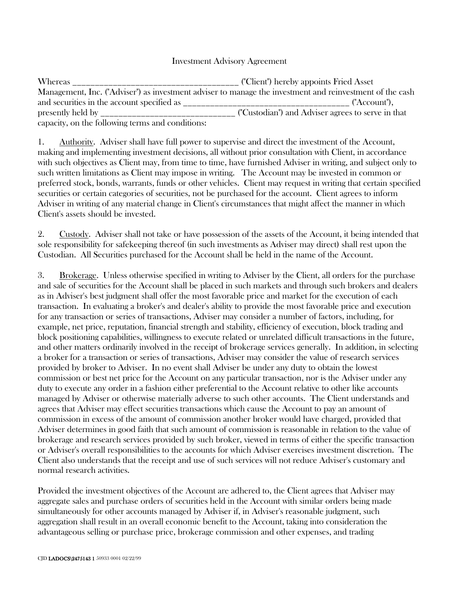## Investment Advisory Agreement

| Whereas                                          | ("Client") hereby appoints Fried Asset                                                                   |
|--------------------------------------------------|----------------------------------------------------------------------------------------------------------|
|                                                  | Management, Inc. ("Adviser") as investment adviser to manage the investment and reinvestment of the cash |
| and securities in the account specified as       | ("Account"),                                                                                             |
| presently held by                                | ("Custodian") and Adviser agrees to serve in that                                                        |
| capacity, on the following terms and conditions: |                                                                                                          |

1. Authority. Adviser shall have full power to supervise and direct the investment of the Account, making and implementing investment decisions, all without prior consultation with Client, in accordance with such objectives as Client may, from time to time, have furnished Adviser in writing, and subject only to such written limitations as Client may impose in writing. The Account may be invested in common or preferred stock, bonds, warrants, funds or other vehicles. Client may request in writing that certain specified securities or certain categories of securities, not be purchased for the account. Client agrees to inform Adviser in writing of any material change in Client's circumstances that might affect the manner in which Client's assets should be invested.

2. Custody. Adviser shall not take or have possession of the assets of the Account, it being intended that sole responsibility for safekeeping thereof (in such investments as Adviser may direct) shall rest upon the Custodian. All Securities purchased for the Account shall be held in the name of the Account.

3. Brokerage. Unless otherwise specified in writing to Adviser by the Client, all orders for the purchase and sale of securities for the Account shall be placed in such markets and through such brokers and dealers as in Adviser's best judgment shall offer the most favorable price and market for the execution of each transaction. In evaluating a broker's and dealer's ability to provide the most favorable price and execution for any transaction or series of transactions, Adviser may consider a number of factors, including, for example, net price, reputation, financial strength and stability, efficiency of execution, block trading and block positioning capabilities, willingness to execute related or unrelated difficult transactions in the future, and other matters ordinarily involved in the receipt of brokerage services generally. In addition, in selecting a broker for a transaction or series of transactions, Adviser may consider the value of research services provided by broker to Adviser. In no event shall Adviser be under any duty to obtain the lowest commission or best net price for the Account on any particular transaction, nor is the Adviser under any duty to execute any order in a fashion either preferential to the Account relative to other like accounts managed by Adviser or otherwise materially adverse to such other accounts. The Client understands and agrees that Adviser may effect securities transactions which cause the Account to pay an amount of commission in excess of the amount of commission another broker would have charged, provided that Adviser determines in good faith that such amount of commission is reasonable in relation to the value of brokerage and research services provided by such broker, viewed in terms of either the specific transaction or Adviser's overall responsibilities to the accounts for which Adviser exercises investment discretion. The Client also understands that the receipt and use of such services will not reduce Adviser's customary and normal research activities.

Provided the investment objectives of the Account are adhered to, the Client agrees that Adviser may aggregate sales and purchase orders of securities held in the Account with similar orders being made simultaneously for other accounts managed by Adviser if, in Adviser's reasonable judgment, such aggregation shall result in an overall economic benefit to the Account, taking into consideration the advantageous selling or purchase price, brokerage commission and other expenses, and trading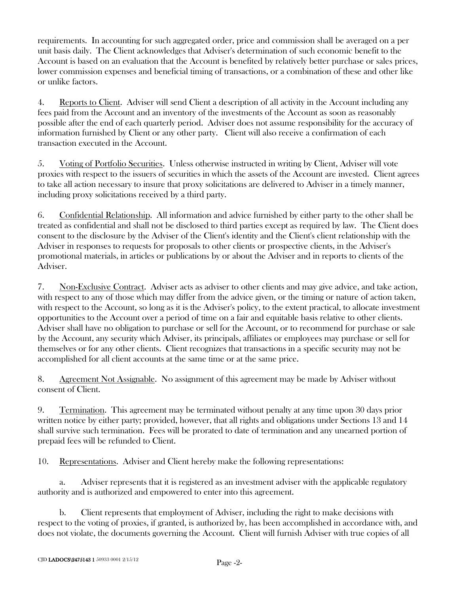requirements. In accounting for such aggregated order, price and commission shall be averaged on a per unit basis daily. The Client acknowledges that Adviser's determination of such economic benefit to the Account is based on an evaluation that the Account is benefited by relatively better purchase or sales prices, lower commission expenses and beneficial timing of transactions, or a combination of these and other like or unlike factors.

4. Reports to Client. Adviser will send Client a description of all activity in the Account including any fees paid from the Account and an inventory of the investments of the Account as soon as reasonably possible after the end of each quarterly period. Adviser does not assume responsibility for the accuracy of information furnished by Client or any other party. Client will also receive a confirmation of each transaction executed in the Account.

5. Voting of Portfolio Securities. Unless otherwise instructed in writing by Client, Adviser will vote proxies with respect to the issuers of securities in which the assets of the Account are invested. Client agrees to take all action necessary to insure that proxy solicitations are delivered to Adviser in a timely manner, including proxy solicitations received by a third party.

6. Confidential Relationship. All information and advice furnished by either party to the other shall be treated as confidential and shall not be disclosed to third parties except as required by law. The Client does consent to the disclosure by the Adviser of the Client's identity and the Client's client relationship with the Adviser in responses to requests for proposals to other clients or prospective clients, in the Adviser's promotional materials, in articles or publications by or about the Adviser and in reports to clients of the Adviser.

7. Non-Exclusive Contract. Adviser acts as adviser to other clients and may give advice, and take action, with respect to any of those which may differ from the advice given, or the timing or nature of action taken, with respect to the Account, so long as it is the Adviser's policy, to the extent practical, to allocate investment opportunities to the Account over a period of time on a fair and equitable basis relative to other clients. Adviser shall have no obligation to purchase or sell for the Account, or to recommend for purchase or sale by the Account, any security which Adviser, its principals, affiliates or employees may purchase or sell for themselves or for any other clients. Client recognizes that transactions in a specific security may not be accomplished for all client accounts at the same time or at the same price.

8. Agreement Not Assignable. No assignment of this agreement may be made by Adviser without consent of Client.

9. Termination. This agreement may be terminated without penalty at any time upon 30 days prior written notice by either party; provided, however, that all rights and obligations under Sections 13 and 14 shall survive such termination. Fees will be prorated to date of termination and any unearned portion of prepaid fees will be refunded to Client.

10. Representations. Adviser and Client hereby make the following representations:

a. Adviser represents that it is registered as an investment adviser with the applicable regulatory authority and is authorized and empowered to enter into this agreement.

b. Client represents that employment of Adviser, including the right to make decisions with respect to the voting of proxies, if granted, is authorized by, has been accomplished in accordance with, and does not violate, the documents governing the Account. Client will furnish Adviser with true copies of all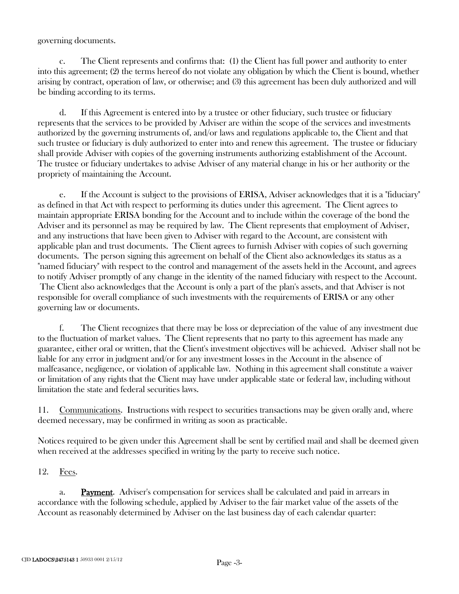governing documents.

c. The Client represents and confirms that: (1) the Client has full power and authority to enter into this agreement; (2) the terms hereof do not violate any obligation by which the Client is bound, whether arising by contract, operation of law, or otherwise; and (3) this agreement has been duly authorized and will be binding according to its terms.

d. If this Agreement is entered into by a trustee or other fiduciary, such trustee or fiduciary represents that the services to be provided by Adviser are within the scope of the services and investments authorized by the governing instruments of, and/or laws and regulations applicable to, the Client and that such trustee or fiduciary is duly authorized to enter into and renew this agreement. The trustee or fiduciary shall provide Adviser with copies of the governing instruments authorizing establishment of the Account. The trustee or fiduciary undertakes to advise Adviser of any material change in his or her authority or the propriety of maintaining the Account.

e. If the Account is subject to the provisions of ERISA, Adviser acknowledges that it is a "fiduciary" as defined in that Act with respect to performing its duties under this agreement. The Client agrees to maintain appropriate ERISA bonding for the Account and to include within the coverage of the bond the Adviser and its personnel as may be required by law. The Client represents that employment of Adviser, and any instructions that have been given to Adviser with regard to the Account, are consistent with applicable plan and trust documents. The Client agrees to furnish Adviser with copies of such governing documents. The person signing this agreement on behalf of the Client also acknowledges its status as a "named fiduciary" with respect to the control and management of the assets held in the Account, and agrees to notify Adviser promptly of any change in the identity of the named fiduciary with respect to the Account. The Client also acknowledges that the Account is only a part of the plan's assets, and that Adviser is not responsible for overall compliance of such investments with the requirements of ERISA or any other governing law or documents.

f. The Client recognizes that there may be loss or depreciation of the value of any investment due to the fluctuation of market values. The Client represents that no party to this agreement has made any guarantee, either oral or written, that the Client's investment objectives will be achieved. Adviser shall not be liable for any error in judgment and/or for any investment losses in the Account in the absence of malfeasance, negligence, or violation of applicable law. Nothing in this agreement shall constitute a waiver or limitation of any rights that the Client may have under applicable state or federal law, including without limitation the state and federal securities laws.

11. Communications. Instructions with respect to securities transactions may be given orally and, where deemed necessary, may be confirmed in writing as soon as practicable.

Notices required to be given under this Agreement shall be sent by certified mail and shall be deemed given when received at the addresses specified in writing by the party to receive such notice.

## 12. Fees.

a. Payment. Adviser's compensation for services shall be calculated and paid in arrears in accordance with the following schedule, applied by Adviser to the fair market value of the assets of the Account as reasonably determined by Adviser on the last business day of each calendar quarter: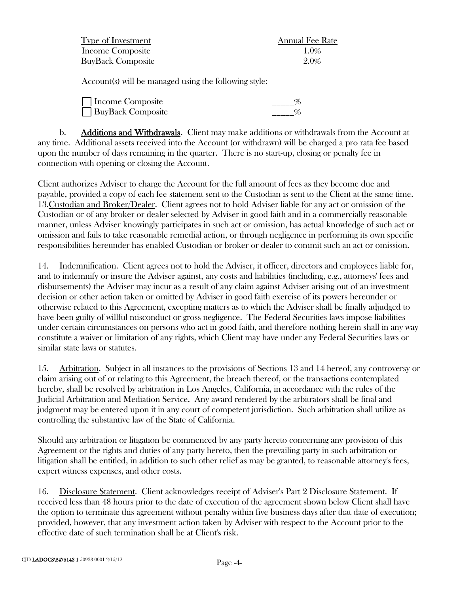| Type of Investment       | <b>Annual Fee Rate</b> |
|--------------------------|------------------------|
| Income Composite         | $1.0\%$                |
| <b>BuyBack Composite</b> | 2.0%                   |

Account(s) will be managed using the following style:

| □ Income Composite       |  |
|--------------------------|--|
| <b>BuyBack Composite</b> |  |

b. Additions and Withdrawals. Client may make additions or withdrawals from the Account at any time. Additional assets received into the Account (or withdrawn) will be charged a pro rata fee based upon the number of days remaining in the quarter. There is no start-up, closing or penalty fee in connection with opening or closing the Account.

Client authorizes Adviser to charge the Account for the full amount of fees as they become due and payable, provided a copy of each fee statement sent to the Custodian is sent to the Client at the same time. 13.Custodian and Broker/Dealer. Client agrees not to hold Adviser liable for any act or omission of the Custodian or of any broker or dealer selected by Adviser in good faith and in a commercially reasonable manner, unless Adviser knowingly participates in such act or omission, has actual knowledge of such act or omission and fails to take reasonable remedial action, or through negligence in performing its own specific responsibilities hereunder has enabled Custodian or broker or dealer to commit such an act or omission.

14. Indemnification. Client agrees not to hold the Adviser, it officer, directors and employees liable for, and to indemnify or insure the Adviser against, any costs and liabilities (including, e.g., attorneys' fees and disbursements) the Adviser may incur as a result of any claim against Adviser arising out of an investment decision or other action taken or omitted by Adviser in good faith exercise of its powers hereunder or otherwise related to this Agreement, excepting matters as to which the Adviser shall be finally adjudged to have been guilty of willful misconduct or gross negligence. The Federal Securities laws impose liabilities under certain circumstances on persons who act in good faith, and therefore nothing herein shall in any way constitute a waiver or limitation of any rights, which Client may have under any Federal Securities laws or similar state laws or statutes.

15. Arbitration. Subject in all instances to the provisions of Sections 13 and 14 hereof, any controversy or claim arising out of or relating to this Agreement, the breach thereof, or the transactions contemplated hereby, shall be resolved by arbitration in Los Angeles, California, in accordance with the rules of the Judicial Arbitration and Mediation Service. Any award rendered by the arbitrators shall be final and judgment may be entered upon it in any court of competent jurisdiction. Such arbitration shall utilize as controlling the substantive law of the State of California.

Should any arbitration or litigation be commenced by any party hereto concerning any provision of this Agreement or the rights and duties of any party hereto, then the prevailing party in such arbitration or litigation shall be entitled, in addition to such other relief as may be granted, to reasonable attorney's fees, expert witness expenses, and other costs.

16. Disclosure Statement. Client acknowledges receipt of Adviser's Part 2 Disclosure Statement. If received less than 48 hours prior to the date of execution of the agreement shown below Client shall have the option to terminate this agreement without penalty within five business days after that date of execution; provided, however, that any investment action taken by Adviser with respect to the Account prior to the effective date of such termination shall be at Client's risk.